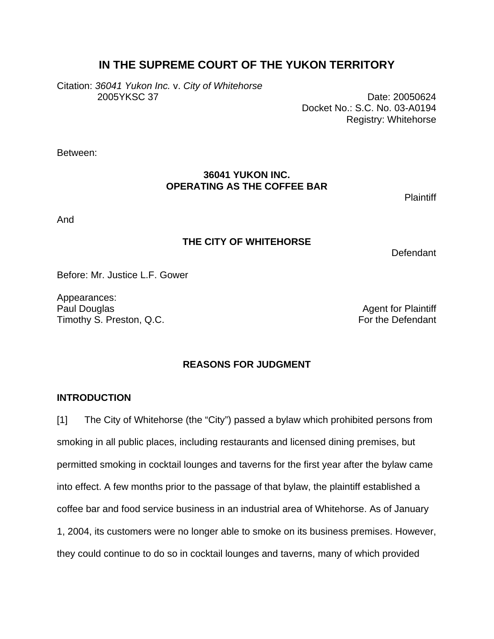# **IN THE SUPREME COURT OF THE YUKON TERRITORY**

Citation: *36041 Yukon Inc.* v. *City of Whitehorse* 2005YKSC 37 Date: 20050624

Docket No.: S.C. No. 03-A0194 Registry: Whitehorse

Between:

## **36041 YUKON INC. OPERATING AS THE COFFEE BAR**

**Plaintiff** 

And

# **THE CITY OF WHITEHORSE**

**Defendant** 

Before: Mr. Justice L.F. Gower

Appearances: Paul Douglas **Agent for Plaintiff** Timothy S. Preston, Q.C. Timothy S. Preston, Q.C.

# **REASONS FOR JUDGMENT**

## **INTRODUCTION**

[1] The City of Whitehorse (the "City") passed a bylaw which prohibited persons from smoking in all public places, including restaurants and licensed dining premises, but permitted smoking in cocktail lounges and taverns for the first year after the bylaw came into effect. A few months prior to the passage of that bylaw, the plaintiff established a coffee bar and food service business in an industrial area of Whitehorse. As of January 1, 2004, its customers were no longer able to smoke on its business premises. However, they could continue to do so in cocktail lounges and taverns, many of which provided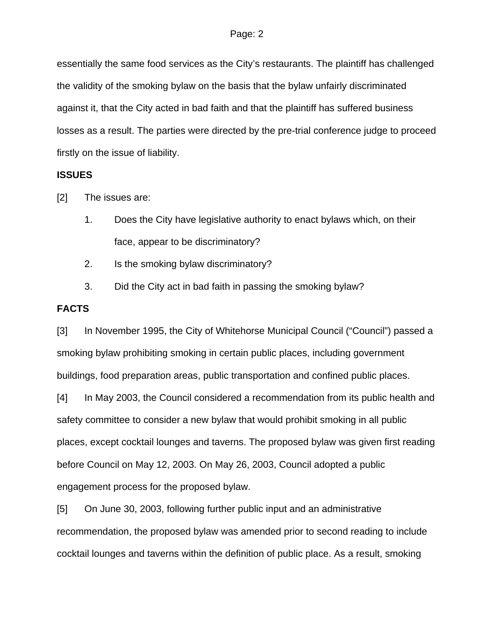essentially the same food services as the City's restaurants. The plaintiff has challenged the validity of the smoking bylaw on the basis that the bylaw unfairly discriminated against it, that the City acted in bad faith and that the plaintiff has suffered business losses as a result. The parties were directed by the pre-trial conference judge to proceed firstly on the issue of liability.

## **ISSUES**

[2] The issues are:

- 1. Does the City have legislative authority to enact bylaws which, on their face, appear to be discriminatory?
- 2. Is the smoking bylaw discriminatory?
- 3. Did the City act in bad faith in passing the smoking bylaw?

### **FACTS**

[3] In November 1995, the City of Whitehorse Municipal Council ("Council") passed a smoking bylaw prohibiting smoking in certain public places, including government buildings, food preparation areas, public transportation and confined public places.

[4] In May 2003, the Council considered a recommendation from its public health and safety committee to consider a new bylaw that would prohibit smoking in all public places, except cocktail lounges and taverns. The proposed bylaw was given first reading before Council on May 12, 2003. On May 26, 2003, Council adopted a public engagement process for the proposed bylaw.

[5] On June 30, 2003, following further public input and an administrative recommendation, the proposed bylaw was amended prior to second reading to include cocktail lounges and taverns within the definition of public place. As a result, smoking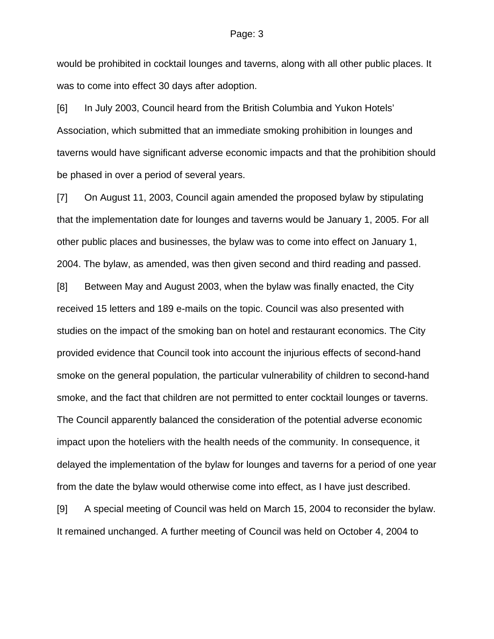would be prohibited in cocktail lounges and taverns, along with all other public places. It was to come into effect 30 days after adoption.

[6] In July 2003, Council heard from the British Columbia and Yukon Hotels' Association, which submitted that an immediate smoking prohibition in lounges and taverns would have significant adverse economic impacts and that the prohibition should be phased in over a period of several years.

[7] On August 11, 2003, Council again amended the proposed bylaw by stipulating that the implementation date for lounges and taverns would be January 1, 2005. For all other public places and businesses, the bylaw was to come into effect on January 1, 2004. The bylaw, as amended, was then given second and third reading and passed.

[8] Between May and August 2003, when the bylaw was finally enacted, the City received 15 letters and 189 e-mails on the topic. Council was also presented with studies on the impact of the smoking ban on hotel and restaurant economics. The City provided evidence that Council took into account the injurious effects of second-hand smoke on the general population, the particular vulnerability of children to second-hand smoke, and the fact that children are not permitted to enter cocktail lounges or taverns. The Council apparently balanced the consideration of the potential adverse economic impact upon the hoteliers with the health needs of the community. In consequence, it delayed the implementation of the bylaw for lounges and taverns for a period of one year from the date the bylaw would otherwise come into effect, as I have just described.

[9] A special meeting of Council was held on March 15, 2004 to reconsider the bylaw. It remained unchanged. A further meeting of Council was held on October 4, 2004 to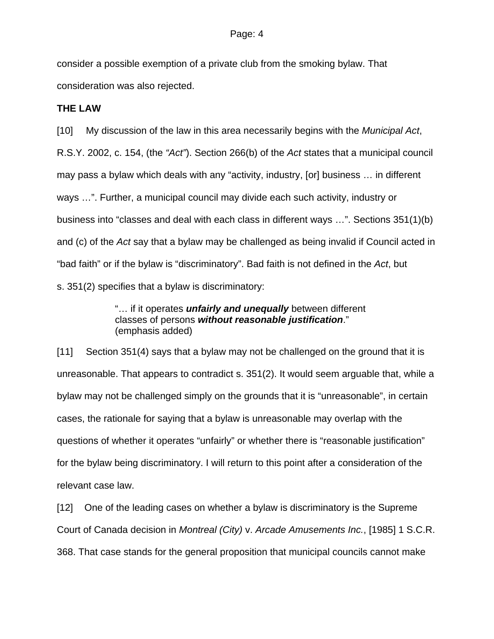consider a possible exemption of a private club from the smoking bylaw. That consideration was also rejected.

## **THE LAW**

[10] My discussion of the law in this area necessarily begins with the *Municipal Act*, R.S.Y. 2002, c. 154, (the *"Act"*). Section 266(b) of the *Act* states that a municipal council may pass a bylaw which deals with any "activity, industry, [or] business … in different ways …". Further, a municipal council may divide each such activity, industry or business into "classes and deal with each class in different ways …". Sections 351(1)(b) and (c) of the *Act* say that a bylaw may be challenged as being invalid if Council acted in "bad faith" or if the bylaw is "discriminatory". Bad faith is not defined in the *Act*, but s. 351(2) specifies that a bylaw is discriminatory:

> "… if it operates *unfairly and unequally* between different classes of persons *without reasonable justification*." (emphasis added)

[11] Section 351(4) says that a bylaw may not be challenged on the ground that it is unreasonable. That appears to contradict s. 351(2). It would seem arguable that, while a bylaw may not be challenged simply on the grounds that it is "unreasonable", in certain cases, the rationale for saying that a bylaw is unreasonable may overlap with the questions of whether it operates "unfairly" or whether there is "reasonable justification" for the bylaw being discriminatory. I will return to this point after a consideration of the relevant case law.

[12] One of the leading cases on whether a bylaw is discriminatory is the Supreme Court of Canada decision in *Montreal (City)* v. *Arcade Amusements Inc.*, [1985] 1 S.C.R. 368. That case stands for the general proposition that municipal councils cannot make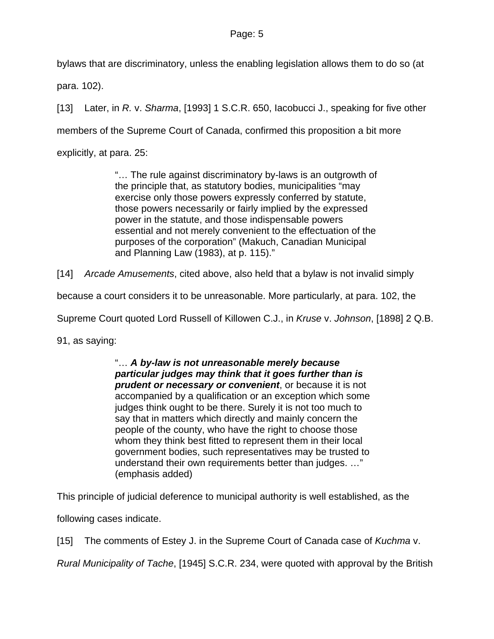bylaws that are discriminatory, unless the enabling legislation allows them to do so (at

para. 102).

[13] Later, in *R.* v. *Sharma*, [1993] 1 S.C.R. 650, Iacobucci J., speaking for five other members of the Supreme Court of Canada, confirmed this proposition a bit more explicitly, at para. 25:

> "… The rule against discriminatory by-laws is an outgrowth of the principle that, as statutory bodies, municipalities "may exercise only those powers expressly conferred by statute, those powers necessarily or fairly implied by the expressed power in the statute, and those indispensable powers essential and not merely convenient to the effectuation of the purposes of the corporation" (Makuch, Canadian Municipal and Planning Law (1983), at p. 115)."

[14] *Arcade Amusements*, cited above, also held that a bylaw is not invalid simply

because a court considers it to be unreasonable. More particularly, at para. 102, the

Supreme Court quoted Lord Russell of Killowen C.J., in *Kruse* v. *Johnson*, [1898] 2 Q.B.

91, as saying:

"… *A by-law is not unreasonable merely because particular judges may think that it goes further than is prudent or necessary or convenient*, or because it is not accompanied by a qualification or an exception which some judges think ought to be there. Surely it is not too much to say that in matters which directly and mainly concern the people of the county, who have the right to choose those whom they think best fitted to represent them in their local government bodies, such representatives may be trusted to understand their own requirements better than judges. …" (emphasis added)

This principle of judicial deference to municipal authority is well established, as the

following cases indicate.

[15] The comments of Estey J. in the Supreme Court of Canada case of *Kuchma* v.

*Rural Municipality of Tache*, [1945] S.C.R. 234, were quoted with approval by the British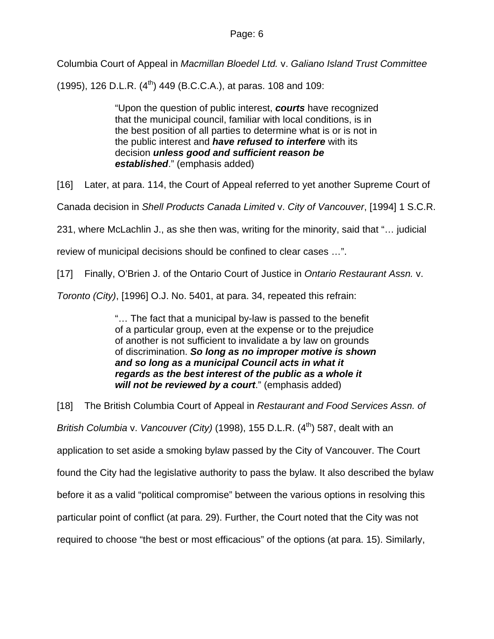Columbia Court of Appeal in *Macmillan Bloedel Ltd.* v. *Galiano Island Trust Committee*

(1995), 126 D.L.R.  $(4^{th})$  449 (B.C.C.A.), at paras. 108 and 109:

"Upon the question of public interest, *courts* have recognized that the municipal council, familiar with local conditions, is in the best position of all parties to determine what is or is not in the public interest and *have refused to interfere* with its decision *unless good and sufficient reason be established*." (emphasis added)

[16] Later, at para. 114, the Court of Appeal referred to yet another Supreme Court of

Canada decision in *Shell Products Canada Limited* v. *City of Vancouver*, [1994] 1 S.C.R.

231, where McLachlin J., as she then was, writing for the minority, said that "… judicial

review of municipal decisions should be confined to clear cases …".

[17] Finally, O'Brien J. of the Ontario Court of Justice in *Ontario Restaurant Assn.* v.

*Toronto (City)*, [1996] O.J. No. 5401, at para. 34, repeated this refrain:

"… The fact that a municipal by-law is passed to the benefit of a particular group, even at the expense or to the prejudice of another is not sufficient to invalidate a by law on grounds of discrimination. *So long as no improper motive is shown and so long as a municipal Council acts in what it regards as the best interest of the public as a whole it will not be reviewed by a court*." (emphasis added)

[18] The British Columbia Court of Appeal in *Restaurant and Food Services Assn. of British Columbia v. Vancouver (City)* (1998), 155 D.L.R. (4<sup>th</sup>) 587, dealt with an application to set aside a smoking bylaw passed by the City of Vancouver. The Court found the City had the legislative authority to pass the bylaw. It also described the bylaw before it as a valid "political compromise" between the various options in resolving this particular point of conflict (at para. 29). Further, the Court noted that the City was not required to choose "the best or most efficacious" of the options (at para. 15). Similarly,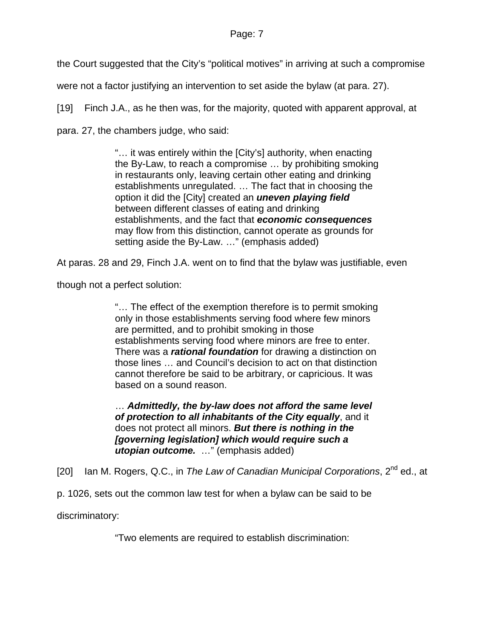the Court suggested that the City's "political motives" in arriving at such a compromise

were not a factor justifying an intervention to set aside the bylaw (at para. 27).

[19] Finch J.A., as he then was, for the majority, quoted with apparent approval, at

para. 27, the chambers judge, who said:

"… it was entirely within the [City's] authority, when enacting the By-Law, to reach a compromise … by prohibiting smoking in restaurants only, leaving certain other eating and drinking establishments unregulated. … The fact that in choosing the option it did the [City] created an *uneven playing field* between different classes of eating and drinking establishments, and the fact that *economic consequences* may flow from this distinction, cannot operate as grounds for setting aside the By-Law. …" (emphasis added)

At paras. 28 and 29, Finch J.A. went on to find that the bylaw was justifiable, even

though not a perfect solution:

"… The effect of the exemption therefore is to permit smoking only in those establishments serving food where few minors are permitted, and to prohibit smoking in those establishments serving food where minors are free to enter. There was a *rational foundation* for drawing a distinction on those lines … and Council's decision to act on that distinction cannot therefore be said to be arbitrary, or capricious. It was based on a sound reason.

… *Admittedly, the by-law does not afford the same level of protection to all inhabitants of the City equally*, and it does not protect all minors. *But there is nothing in the [governing legislation] which would require such a utopian outcome.* …" (emphasis added)

[20] Ian M. Rogers, Q.C., in *The Law of Canadian Municipal Corporations*, 2nd ed., at

p. 1026, sets out the common law test for when a bylaw can be said to be

discriminatory:

"Two elements are required to establish discrimination: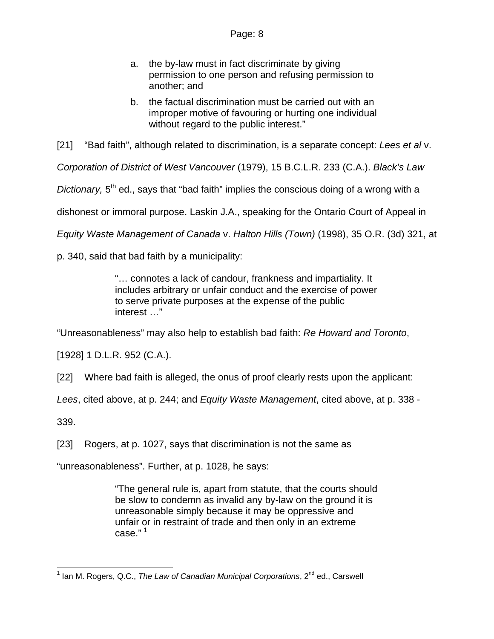- a. the by-law must in fact discriminate by giving permission to one person and refusing permission to another; and
- b. the factual discrimination must be carried out with an improper motive of favouring or hurting one individual without regard to the public interest."

[21] "Bad faith", although related to discrimination, is a separate concept: *Lees et al* v.

*Corporation of District of West Vancouver* (1979), 15 B.C.L.R. 233 (C.A.). *Black's Law* 

*Dictionary*. 5<sup>th</sup> ed., says that "bad faith" implies the conscious doing of a wrong with a

dishonest or immoral purpose. Laskin J.A., speaking for the Ontario Court of Appeal in

*Equity Waste Management of Canada* v. *Halton Hills (Town)* (1998), 35 O.R. (3d) 321, at

p. 340, said that bad faith by a municipality:

"… connotes a lack of candour, frankness and impartiality. It includes arbitrary or unfair conduct and the exercise of power to serve private purposes at the expense of the public interest …"

"Unreasonableness" may also help to establish bad faith: *Re Howard and Toronto*,

[1928] 1 D.L.R. 952 (C.A.).

[22] Where bad faith is alleged, the onus of proof clearly rests upon the applicant:

*Lees*, cited above, at p. 244; and *Equity Waste Management*, cited above, at p. 338 -

339.

[23] Rogers, at p. 1027, says that discrimination is not the same as

"unreasonableness". Further, at p. 1028, he says:

"The general rule is, apart from statute, that the courts should be slow to condemn as invalid any by-law on the ground it is unreasonable simply because it may be oppressive and unfair or in restraint of trade and then only in an extreme case." [1](#page-7-0)

<span id="page-7-0"></span> 1 Ian M. Rogers, Q.C., *The Law of Canadian Municipal Corporations*, 2nd ed., Carswell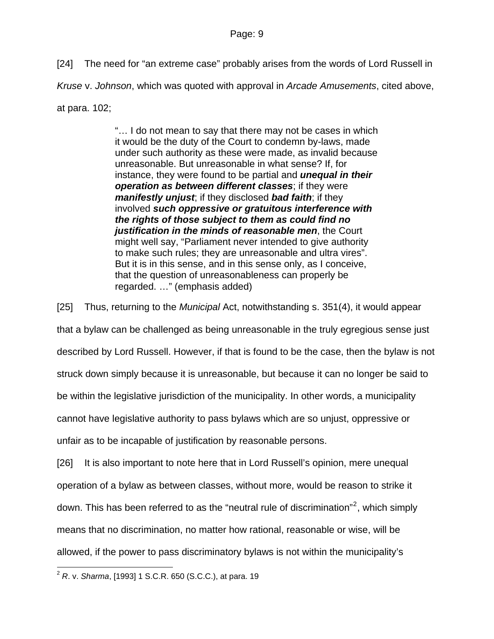[24] The need for "an extreme case" probably arises from the words of Lord Russell in *Kruse* v. *Johnson*, which was quoted with approval in *Arcade Amusements*, cited above, at para. 102;

> "… I do not mean to say that there may not be cases in which it would be the duty of the Court to condemn by-laws, made under such authority as these were made, as invalid because unreasonable. But unreasonable in what sense? If, for instance, they were found to be partial and *unequal in their operation as between different classes*; if they were *manifestly unjust*; if they disclosed *bad faith*; if they involved *such oppressive or gratuitous interference with the rights of those subject to them as could find no justification in the minds of reasonable men*, the Court might well say, "Parliament never intended to give authority to make such rules; they are unreasonable and ultra vires". But it is in this sense, and in this sense only, as I conceive, that the question of unreasonableness can properly be regarded. …" (emphasis added)

[25] Thus, returning to the *Municipal* Act, notwithstanding s. 351(4), it would appear

that a bylaw can be challenged as being unreasonable in the truly egregious sense just described by Lord Russell. However, if that is found to be the case, then the bylaw is not struck down simply because it is unreasonable, but because it can no longer be said to be within the legislative jurisdiction of the municipality. In other words, a municipality cannot have legislative authority to pass bylaws which are so unjust, oppressive or

unfair as to be incapable of justification by reasonable persons.

[26] It is also important to note here that in Lord Russell's opinion, mere unequal operation of a bylaw as between classes, without more, would be reason to strike it down. This has been referred to as the "neutral rule of discrimination"<sup>[2](#page-8-0)</sup>, which simply means that no discrimination, no matter how rational, reasonable or wise, will be allowed, if the power to pass discriminatory bylaws is not within the municipality's

<span id="page-8-0"></span>l <sup>2</sup> *R*. v. *Sharma*, [1993] 1 S.C.R. 650 (S.C.C.), at para. 19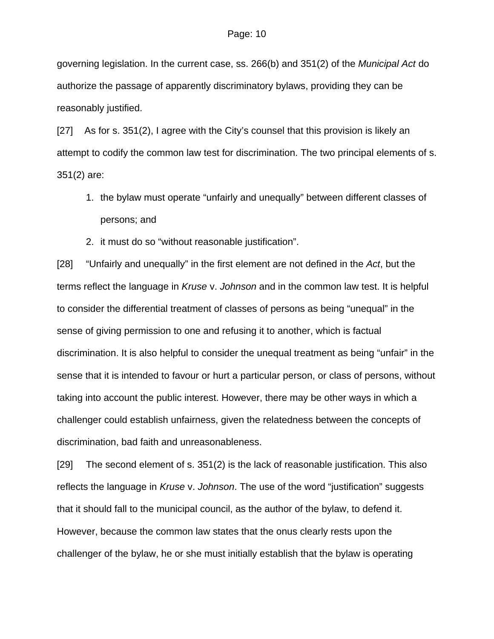governing legislation. In the current case, ss. 266(b) and 351(2) of the *Municipal Act* do authorize the passage of apparently discriminatory bylaws, providing they can be reasonably justified.

[27] As for s. 351(2), I agree with the City's counsel that this provision is likely an attempt to codify the common law test for discrimination. The two principal elements of s. 351(2) are:

- 1. the bylaw must operate "unfairly and unequally" between different classes of persons; and
- 2. it must do so "without reasonable justification".

[28] "Unfairly and unequally" in the first element are not defined in the *Act*, but the terms reflect the language in *Kruse* v. *Johnson* and in the common law test. It is helpful to consider the differential treatment of classes of persons as being "unequal" in the sense of giving permission to one and refusing it to another, which is factual discrimination. It is also helpful to consider the unequal treatment as being "unfair" in the sense that it is intended to favour or hurt a particular person, or class of persons, without taking into account the public interest. However, there may be other ways in which a challenger could establish unfairness, given the relatedness between the concepts of discrimination, bad faith and unreasonableness.

[29] The second element of s. 351(2) is the lack of reasonable justification. This also reflects the language in *Kruse* v. *Johnson*. The use of the word "justification" suggests that it should fall to the municipal council, as the author of the bylaw, to defend it. However, because the common law states that the onus clearly rests upon the challenger of the bylaw, he or she must initially establish that the bylaw is operating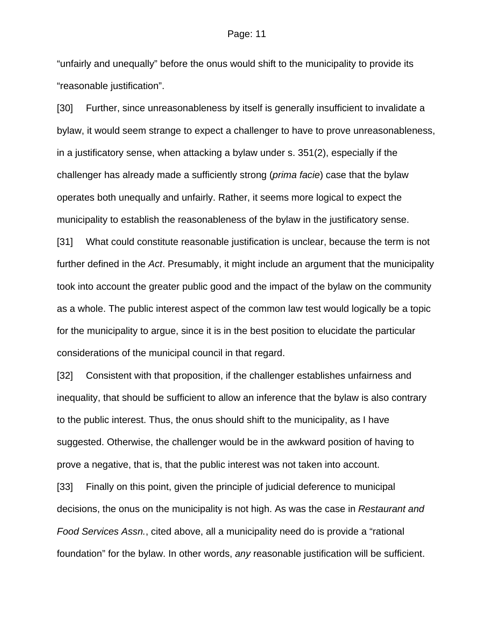"unfairly and unequally" before the onus would shift to the municipality to provide its "reasonable justification".

[30] Further, since unreasonableness by itself is generally insufficient to invalidate a bylaw, it would seem strange to expect a challenger to have to prove unreasonableness, in a justificatory sense, when attacking a bylaw under s. 351(2), especially if the challenger has already made a sufficiently strong (*prima facie*) case that the bylaw operates both unequally and unfairly. Rather, it seems more logical to expect the municipality to establish the reasonableness of the bylaw in the justificatory sense.

[31] What could constitute reasonable justification is unclear, because the term is not further defined in the *Act*. Presumably, it might include an argument that the municipality took into account the greater public good and the impact of the bylaw on the community as a whole. The public interest aspect of the common law test would logically be a topic for the municipality to argue, since it is in the best position to elucidate the particular considerations of the municipal council in that regard.

[32] Consistent with that proposition, if the challenger establishes unfairness and inequality, that should be sufficient to allow an inference that the bylaw is also contrary to the public interest. Thus, the onus should shift to the municipality, as I have suggested. Otherwise, the challenger would be in the awkward position of having to prove a negative, that is, that the public interest was not taken into account.

[33] Finally on this point, given the principle of judicial deference to municipal decisions, the onus on the municipality is not high. As was the case in *Restaurant and Food Services Assn.*, cited above, all a municipality need do is provide a "rational foundation" for the bylaw. In other words, *any* reasonable justification will be sufficient.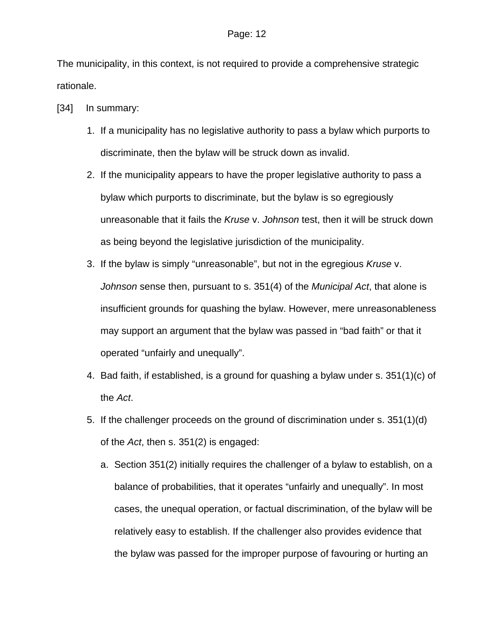The municipality, in this context, is not required to provide a comprehensive strategic rationale.

- [34] In summary:
	- 1. If a municipality has no legislative authority to pass a bylaw which purports to discriminate, then the bylaw will be struck down as invalid.
	- 2. If the municipality appears to have the proper legislative authority to pass a bylaw which purports to discriminate, but the bylaw is so egregiously unreasonable that it fails the *Kruse* v. *Johnson* test, then it will be struck down as being beyond the legislative jurisdiction of the municipality.
	- 3. If the bylaw is simply "unreasonable", but not in the egregious *Kruse* v. *Johnson* sense then, pursuant to s. 351(4) of the *Municipal Act*, that alone is insufficient grounds for quashing the bylaw. However, mere unreasonableness may support an argument that the bylaw was passed in "bad faith" or that it operated "unfairly and unequally".
	- 4. Bad faith, if established, is a ground for quashing a bylaw under s. 351(1)(c) of the *Act*.
	- 5. If the challenger proceeds on the ground of discrimination under s. 351(1)(d) of the *Act*, then s. 351(2) is engaged:
		- a. Section 351(2) initially requires the challenger of a bylaw to establish, on a balance of probabilities, that it operates "unfairly and unequally". In most cases, the unequal operation, or factual discrimination, of the bylaw will be relatively easy to establish. If the challenger also provides evidence that the bylaw was passed for the improper purpose of favouring or hurting an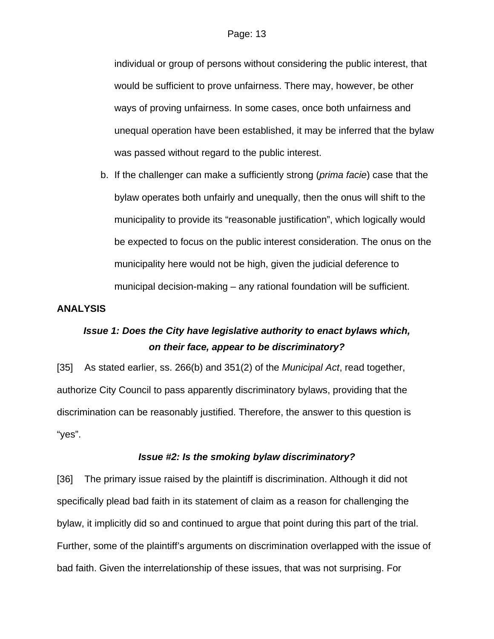individual or group of persons without considering the public interest, that would be sufficient to prove unfairness. There may, however, be other ways of proving unfairness. In some cases, once both unfairness and unequal operation have been established, it may be inferred that the bylaw was passed without regard to the public interest.

b. If the challenger can make a sufficiently strong (*prima facie*) case that the bylaw operates both unfairly and unequally, then the onus will shift to the municipality to provide its "reasonable justification", which logically would be expected to focus on the public interest consideration. The onus on the municipality here would not be high, given the judicial deference to municipal decision-making – any rational foundation will be sufficient.

## **ANALYSIS**

# *Issue 1: Does the City have legislative authority to enact bylaws which, on their face, appear to be discriminatory?*

[35] As stated earlier, ss. 266(b) and 351(2) of the *Municipal Act*, read together, authorize City Council to pass apparently discriminatory bylaws, providing that the discrimination can be reasonably justified. Therefore, the answer to this question is "yes".

## *Issue #2: Is the smoking bylaw discriminatory?*

[36] The primary issue raised by the plaintiff is discrimination. Although it did not specifically plead bad faith in its statement of claim as a reason for challenging the bylaw, it implicitly did so and continued to argue that point during this part of the trial. Further, some of the plaintiff's arguments on discrimination overlapped with the issue of bad faith. Given the interrelationship of these issues, that was not surprising. For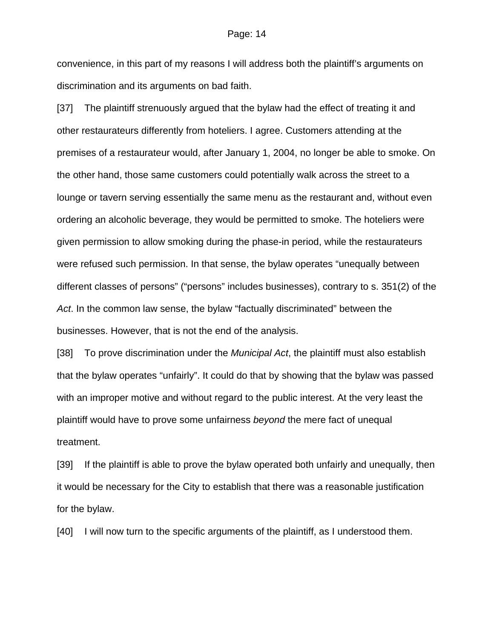convenience, in this part of my reasons I will address both the plaintiff's arguments on discrimination and its arguments on bad faith.

[37] The plaintiff strenuously argued that the bylaw had the effect of treating it and other restaurateurs differently from hoteliers. I agree. Customers attending at the premises of a restaurateur would, after January 1, 2004, no longer be able to smoke. On the other hand, those same customers could potentially walk across the street to a lounge or tavern serving essentially the same menu as the restaurant and, without even ordering an alcoholic beverage, they would be permitted to smoke. The hoteliers were given permission to allow smoking during the phase-in period, while the restaurateurs were refused such permission. In that sense, the bylaw operates "unequally between different classes of persons" ("persons" includes businesses), contrary to s. 351(2) of the *Act*. In the common law sense, the bylaw "factually discriminated" between the businesses. However, that is not the end of the analysis.

[38] To prove discrimination under the *Municipal Act*, the plaintiff must also establish that the bylaw operates "unfairly". It could do that by showing that the bylaw was passed with an improper motive and without regard to the public interest. At the very least the plaintiff would have to prove some unfairness *beyond* the mere fact of unequal treatment.

[39] If the plaintiff is able to prove the bylaw operated both unfairly and unequally, then it would be necessary for the City to establish that there was a reasonable justification for the bylaw.

[40] I will now turn to the specific arguments of the plaintiff, as I understood them.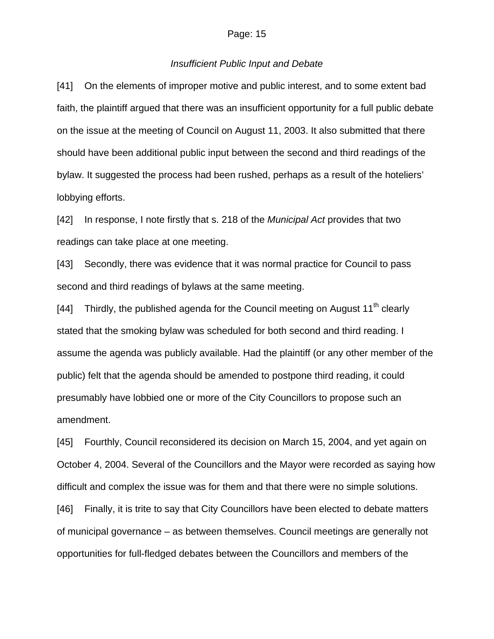### *Insufficient Public Input and Debate*

[41] On the elements of improper motive and public interest, and to some extent bad faith, the plaintiff argued that there was an insufficient opportunity for a full public debate on the issue at the meeting of Council on August 11, 2003. It also submitted that there should have been additional public input between the second and third readings of the bylaw. It suggested the process had been rushed, perhaps as a result of the hoteliers' lobbying efforts.

[42] In response, I note firstly that s. 218 of the *Municipal Act* provides that two readings can take place at one meeting.

[43] Secondly, there was evidence that it was normal practice for Council to pass second and third readings of bylaws at the same meeting.

[44] Thirdly, the published agenda for the Council meeting on August  $11<sup>th</sup>$  clearly stated that the smoking bylaw was scheduled for both second and third reading. I assume the agenda was publicly available. Had the plaintiff (or any other member of the public) felt that the agenda should be amended to postpone third reading, it could presumably have lobbied one or more of the City Councillors to propose such an amendment.

[45] Fourthly, Council reconsidered its decision on March 15, 2004, and yet again on October 4, 2004. Several of the Councillors and the Mayor were recorded as saying how difficult and complex the issue was for them and that there were no simple solutions.

[46] Finally, it is trite to say that City Councillors have been elected to debate matters of municipal governance – as between themselves. Council meetings are generally not opportunities for full-fledged debates between the Councillors and members of the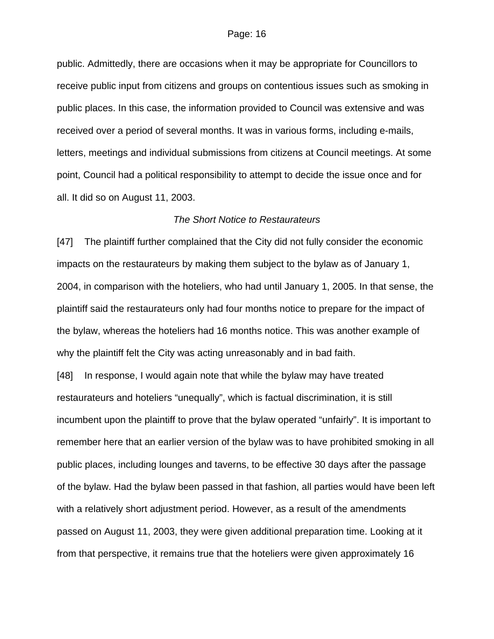public. Admittedly, there are occasions when it may be appropriate for Councillors to receive public input from citizens and groups on contentious issues such as smoking in public places. In this case, the information provided to Council was extensive and was received over a period of several months. It was in various forms, including e-mails, letters, meetings and individual submissions from citizens at Council meetings. At some point, Council had a political responsibility to attempt to decide the issue once and for all. It did so on August 11, 2003.

### *The Short Notice to Restaurateurs*

[47] The plaintiff further complained that the City did not fully consider the economic impacts on the restaurateurs by making them subject to the bylaw as of January 1, 2004, in comparison with the hoteliers, who had until January 1, 2005. In that sense, the plaintiff said the restaurateurs only had four months notice to prepare for the impact of the bylaw, whereas the hoteliers had 16 months notice. This was another example of why the plaintiff felt the City was acting unreasonably and in bad faith.

[48] In response, I would again note that while the bylaw may have treated restaurateurs and hoteliers "unequally", which is factual discrimination, it is still incumbent upon the plaintiff to prove that the bylaw operated "unfairly". It is important to remember here that an earlier version of the bylaw was to have prohibited smoking in all public places, including lounges and taverns, to be effective 30 days after the passage of the bylaw. Had the bylaw been passed in that fashion, all parties would have been left with a relatively short adjustment period. However, as a result of the amendments passed on August 11, 2003, they were given additional preparation time. Looking at it from that perspective, it remains true that the hoteliers were given approximately 16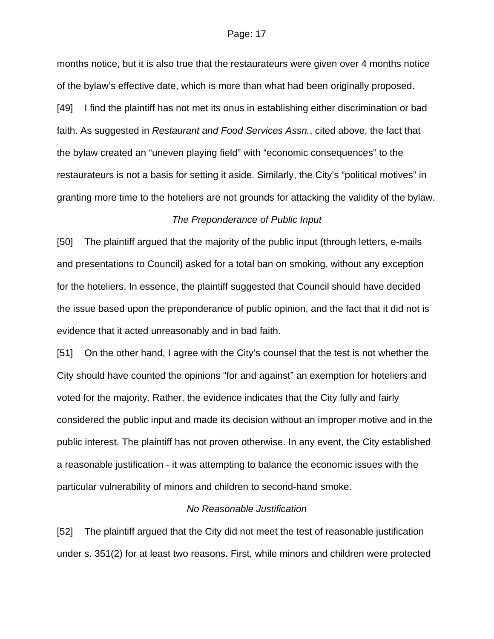months notice, but it is also true that the restaurateurs were given over 4 months notice of the bylaw's effective date, which is more than what had been originally proposed. [49] I find the plaintiff has not met its onus in establishing either discrimination or bad faith. As suggested in *Restaurant and Food Services Assn.*, cited above, the fact that the bylaw created an "uneven playing field" with "economic consequences" to the restaurateurs is not a basis for setting it aside. Similarly, the City's "political motives" in granting more time to the hoteliers are not grounds for attacking the validity of the bylaw.

### *The Preponderance of Public Input*

[50] The plaintiff argued that the majority of the public input (through letters, e-mails and presentations to Council) asked for a total ban on smoking, without any exception for the hoteliers. In essence, the plaintiff suggested that Council should have decided the issue based upon the preponderance of public opinion, and the fact that it did not is evidence that it acted unreasonably and in bad faith.

[51] On the other hand, I agree with the City's counsel that the test is not whether the City should have counted the opinions "for and against" an exemption for hoteliers and voted for the majority. Rather, the evidence indicates that the City fully and fairly considered the public input and made its decision without an improper motive and in the public interest. The plaintiff has not proven otherwise. In any event, the City established a reasonable justification - it was attempting to balance the economic issues with the particular vulnerability of minors and children to second-hand smoke.

### *No Reasonable Justification*

[52] The plaintiff argued that the City did not meet the test of reasonable justification under s. 351(2) for at least two reasons. First, while minors and children were protected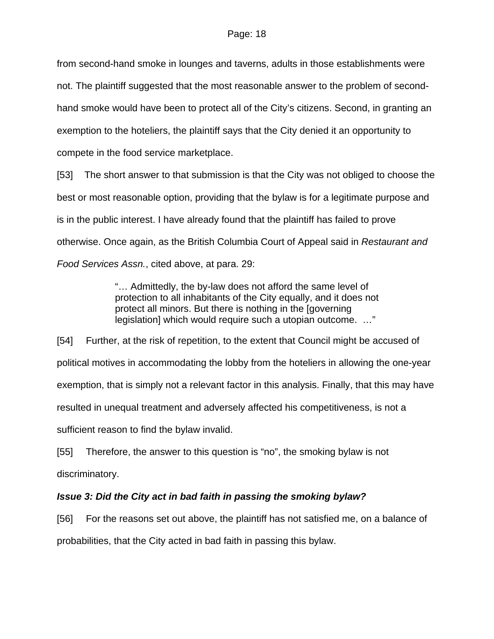from second-hand smoke in lounges and taverns, adults in those establishments were not. The plaintiff suggested that the most reasonable answer to the problem of secondhand smoke would have been to protect all of the City's citizens. Second, in granting an exemption to the hoteliers, the plaintiff says that the City denied it an opportunity to compete in the food service marketplace.

[53] The short answer to that submission is that the City was not obliged to choose the best or most reasonable option, providing that the bylaw is for a legitimate purpose and is in the public interest. I have already found that the plaintiff has failed to prove otherwise. Once again, as the British Columbia Court of Appeal said in *Restaurant and Food Services Assn.*, cited above, at para. 29:

> "… Admittedly, the by-law does not afford the same level of protection to all inhabitants of the City equally, and it does not protect all minors. But there is nothing in the [governing legislation] which would require such a utopian outcome. …"

[54] Further, at the risk of repetition, to the extent that Council might be accused of political motives in accommodating the lobby from the hoteliers in allowing the one-year exemption, that is simply not a relevant factor in this analysis. Finally, that this may have resulted in unequal treatment and adversely affected his competitiveness, is not a sufficient reason to find the bylaw invalid.

[55] Therefore, the answer to this question is "no", the smoking bylaw is not discriminatory.

# *Issue 3: Did the City act in bad faith in passing the smoking bylaw?*

[56] For the reasons set out above, the plaintiff has not satisfied me, on a balance of probabilities, that the City acted in bad faith in passing this bylaw.